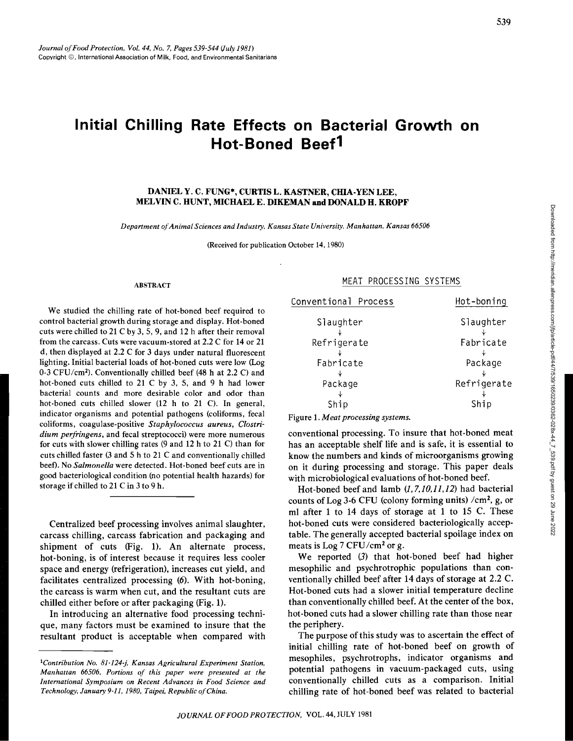# **Initial Chilling Rate Effects on Bacterial Growth on Hot-Boned Beef1**

## DANIELY. C. FUNG\*, CURTISL. KASTNER, CHIA-YENLEE, MELVIN C. HUNT, MICHAEL E. DIKEMAN and DONALD H. KROPF

*Department of Animal Sciences and Industry, Kansas State University, Manhattan, Kansas 66506* 

(Received for publication October 14, 1980)

#### ABSTRACT

We studied the chilling rate of hot-boned beef required to control bacterial growth during storage and display. Hot-boned cuts were chilled to 21 C by 3, 5, 9, and 12 h after their removal from the carcass. Cuts were vacuum-stored at 2.2 C for 14 or 21 d, then displayed at 2.2 C for 3 days under natural fluorescent lighting. Initial bacterial loads of hot-boned cuts were low (Log 0-3 CFU/cm2). Conventionally chilled beef (48 h at 2.2 C) and hot-boned cuts chilled to 21 C by 3, 5, and 9 h had lower bacterial counts and more desirable color and odor than hot-boned cuts chilled slower (12 h to 21 C). In general, indicator organisms and potential pathogens (coliforms, fecal coliforms, coagulase-positive *Staphylococcus aureus, Clostridium perfringens,* and fecal streptococci) were more numerous for cuts with slower chilling rates (9 and 12 h to 21 C) than for cuts chilled faster (3 and 5 h to 21 C and conventionally chilled beet). No *Salmonella* were detected. Hot-boned beef cuts are in good bacteriological condition (no potential health hazards) for storage if chilled to 21 C in 3 to 9 h.

Centralized beef processing involves animal slaughter, carcass chilling, carcass fabrication and packaging and shipment of cuts (Fig. 1). An alternate process, hot-boning, is of interest because it requires less cooler space and energy (refrigeration), increases cut yield, and facilitates centralized processing (6). With hot-boning, the carcass is warm when cut, and the resultant cuts are chilled either before or after packaging (Fig. 1).

In introducing an alternative food processing technique, many factors must be examined to insure that the resultant product is acceptable when compared with

#### MEAT PROCESSING SYSTEMS

|             | Slaughter   |
|-------------|-------------|
| Slaughter   |             |
| Refrigerate | Fabricate   |
| Fabricate   | Package     |
| Package     | Refrigerate |
|             |             |
| Ship        | Ship        |

Figure 1. *Meat processing systems.* 

conventional processing. To insure that hot-boned meat has an acceptable shelf life and is safe, it is essential to know the numbers and kinds of microorganisms growing on it during processing and storage. This paper deals with microbiological evaluations of hot-boned beef.

Hot-boned beef and lamb *(1, 7,10,11,12)* had bacterial counts of Log 3-6 CFU (colony forming units) /cm<sup>2</sup>, g, or ml after 1 to 14 days of storage at 1 to 15 C. These hot-boned cuts were considered bacteriologically acceptable. The generally accepted bacterial spoilage index on meats is Log 7 CFU/cm<sup>2</sup> or g.

We reported (3) that hot-boned beef had higher mesophilic and psychrotrophic populations than conventionally chilled beef after 14 days of storage at 2.2 C. Hot-boned cuts had a slower initial temperature decline than conventionally chilled beef. At the center of the box, hot-boned cuts had a slower chilling rate than those near the periphery.

The purpose of this study was to ascertain the effect of initial chilling rate of hot-boned beef on growth of mesophiles, psychrotrophs, indicator organisms and potential pathogens in vacuum-packaged cuts, using conventionally chilled cuts as a comparison. Initial chilling rate of hot-boned beef was related to bacterial

*<sup>1</sup>Contribution No. 81-124-j, Kansas Agricultural Experiment Station, Manhattan 66506. Portions of this paper were presented at the International Symposium on Recent Advances in Food Science and Technology, January 9-11, 1980, Taipei, Republic of China.*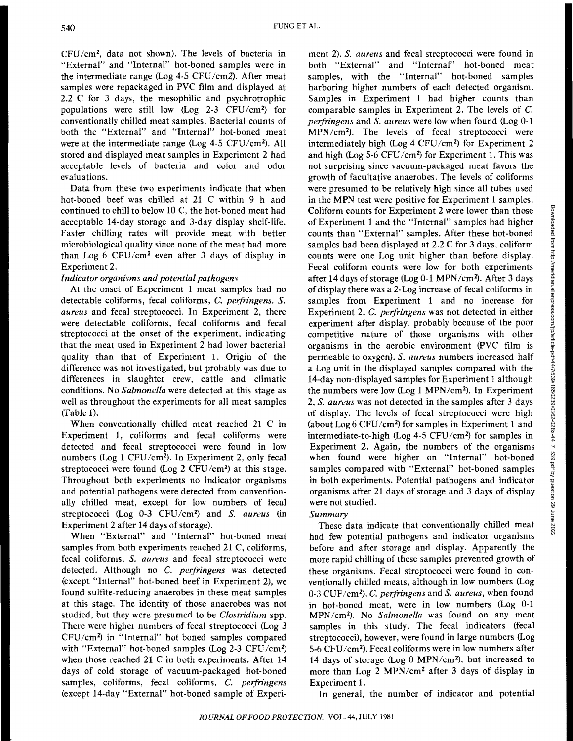CFU /cm2, data not shown). The levels of bacteria in "External" and "Internal" hot-boned samples were in the intermediate range (Log  $4-5$  CFU/cm2). After meat samples were repackaged in PVC film and displayed at 2.2 C for 3 days, the mesophilic and psychrotrophic populations were still low (Log 2-3 CFU/cm2) for conventionally chilled meat samples. Bacterial counts of both the "External" and "Internal" hot-boned meat were at the intermediate range (Log 4-5 CFU/cm<sup>2</sup>). All stored and displayed meat samples in Experiment 2 had acceptable levels of bacteria and color and odor evaluations.

Data from these two experiments indicate that when hot-boned beef was chilled at 21 C within 9 h and continued to chill to below 10 C, the hot-boned meat had acceptable 14-day storage and 3-day display shelf-life. Faster chilling rates will provide meat with better microbiological quality since none of the meat had more than Log 6  $CFU/cm^2$  even after 3 days of display in Experiment 2.

# *Indicator organisms and potential pathogens*

At the onset of Experiment 1 meat samples had no detectable coliforms, fecal coliforms, *C. perfringens*, *S. aureus* and fecal streptococci. In Experiment 2, there were detectable coliforms, fecal coliforms and fecal streptococci at the onset of the experiment, indicating that the meat used in Experiment 2 had lower bacterial quality than that of Experiment 1. Origin of the difference was not investigated, but probably was due to differences in slaughter crew, cattle and climatic conditions. No *Salmonella* were detected at this stage as well as throughout the experiments for all meat samples (fable 1).

When conventionally chilled meat reached 21 C in Experiment 1, coliforms and fecal coliforms were detected and fecal streptococci were found in low numbers (Log 1 CFU/cm<sup>2</sup>). In Experiment 2, only fecal streptococci were found (Log 2 CFU/cm<sup>2</sup>) at this stage. Throughout both experiments no indicator organisms and potential pathogens were detected from conventionally chilled meat, except for low numbers of fecal streptococci (Log 0-3 CFU/cm2) and *S. aureus* (in Experiment 2 after 14 days of storage).

When "External" and "Internal" hot-boned meat samples from both experiments reached 21 C, coliforms, fecal coliforms, *S. aureus* and fecal streptococci were detected. Although no *C. perjringens* was detected (except "Internal" hot-boned beef in Experiment 2), we found sulfite-reducing anaerobes in these meat samples at this stage. The identity of those anaerobes was not studied, but they were presumed to be *Clostridium* spp. There were higher numbers of fecal streptococci (Log 3 CFU/cm2) in "Internal" hot-boned samples compared with "External" hot-boned samples (Log 2-3 CFU/cm2) when those reached 21 C in both experiments. After 14 days of cold storage of vacuum-packaged hot-boned samples, coliforms, fecal coliforms, *C. perfringens* (except 14-day "External" hot-boned sample of Experi-

ment 2). *S. aureus* and fecal streptococci were found in both "External" and "Internal" hot-boned meat samples, with the ''Internal" hot-boned samples harboring higher numbers of each detected organism. Samples in Experiment 1 had higher counts than comparable samples in Experiment 2. The levels of C. *peifringens* and *S. aureus* were low when found (Log 0-1 MPN/cm2 ). The levels of fecal streptococci were intermediately high (Log 4 CFU/cm2 ) for Experiment 2 and high (Log 5-6 CFU/cm2) for Experiment 1. This was not surprising since vacuum-packaged meat favors the growth of facultative anaerobes. The levels of coliforms were presumed to be relatively high since all tubes used in the MPN test were positive for Experiment 1 samples. Coliform counts for Experiment 2 were lower than those of Experiment 1 and the "Internal" samples had higher counts than "External" samples. After these hot-boned samples had been displayed at 2.2 C for 3 days, coliform counts were one Log unit higher than before display. Fecal coliform counts were low for both experiments after 14 days of storage (Log 0-1 MPN/cm2). After 3 days of display there was a 2-Log increase of fecal coliforms in samples from Experiment 1 and no increase for Experiment 2. *C. peifringens* was not detected in either experiment after display, probably because of the poor competitive nature of those organisms with other organisms in the aerobic environment (PVC film is permeable to oxygen). *S. aureus* numbers increased half a Log unit in the displayed samples compared with the 14-day non-displayed samples for Experiment 1 although the numbers were low (Log 1 MPN/cm<sup>2</sup> ). In Experiment 2, *S. aureus* was not detected in the samples after 3 days of display. The levels of fecal streptococci were high (about Log 6 CFU/cm<sup>2</sup>) for samples in Experiment 1 and intermediate-to-high (Log 4-5 CFU/cm2) for samples in Experiment 2. Again, the numbers of the organisms when found were higher on "Internal" hot-boned samples compared with "External" hot-boned samples in both experiments. Potential pathogens and indicator organisms after 21 days of storage and 3 days of display were not studied.

# *Summary*

These data indicate that conventionally chilled meat had few potential pathogens and indicator organisms before and after storage and display. Apparently the more rapid chilling of these samples prevented growth of these organisms. Fecal streptococci were found in conventionally chilled meats, although in low numbers (Log 0-3 CUF/cm2). *C. peifringens* and *S. aureus,* when found in hot-boned meat, were in low numbers (Log 0-1 MPN/cm2). No *Salmonella* was found on any meat samples in this study. The fecal indicators (fecal streptococci), however, were found in large numbers (Log 5-6 CFU/cm2). Fecal coliforms were in low numbers after 14 days of storage (Log 0 MPN/cm<sup>2</sup> ), but increased to more than Log 2 MPN/cm<sup>2</sup> after 3 days of display in Experiment 1.

In general, the number of indicator and potential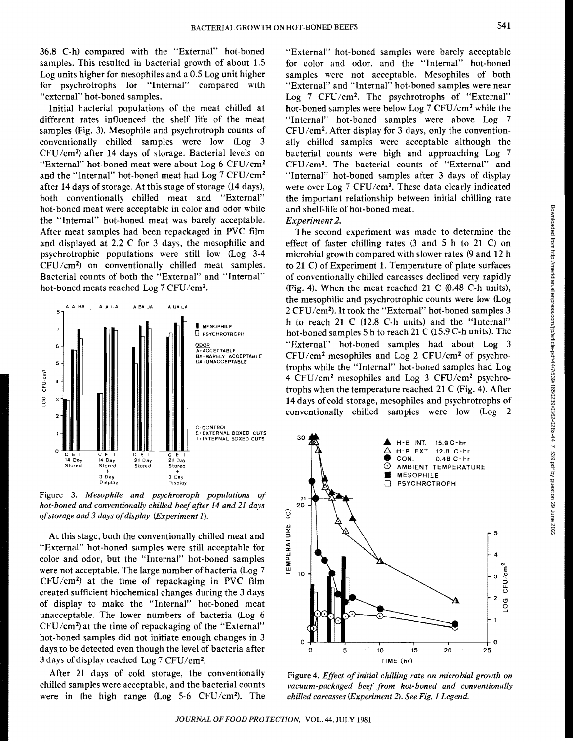36.8 C-h) compared with the "External" hot-boned samples. This resulted in bacterial growth of about 1.5 Log units higher for mesophiles and a 0.5 Log unit higher for psychrotrophs for "Internal" compared with "external" hot-boned samples.

Initial bacterial populations of the meat chilled at different rates influenced the shelf life of the meat samples (Fig. 3). Mesophile and psychrotroph counts of conventionally chilled samples were low (Log 3 CFU/cm2) after **14** days of storage. Bacterial levels on "External" hot-boned meat were about Log 6 CFU/cm<sup>2</sup> and the "Internal" hot-boned meat had Log 7 CFU/cm2 after 14 days of storage. At this stage of storage (14 days), both conventionally chilled meat and "External" hot-boned meat were acceptable in color and odor while the "Internal" hot-boned meat was barely acceptable. After meat samples had been repackaged in PVC film and displayed at 2.2 C for 3 days, the mesophilic and psychrotrophic populations were still low (Log 3-4 CFU/cm2) on conventionally chilled meat samples. Bacterial counts of both the "External" and "Internal" hot-boned meats reached Log 7 CFU/cm2.



Figure 3. *Mesophile and psychrotroph populations of hot-boned and conventionally chilled beef after 14 and 21 days of storage and 3 days of display (Experiment* 1).

At this stage, both the conventionally chilled meat and "External" hot-boned samples were still acceptable for color and odor, but the "Internal" hot-boned samples were not acceptable. The large number of bacteria (Log 7 CFU/cm2) at the time of repackaging in PVC film created sufficient biochemical changes during the 3 days of display to make the "Internal" hot-boned meat unacceptable. The lower numbers of bacteria (Log 6  $CFU/cm<sup>2</sup>$ ) at the time of repackaging of the "External" hot-boned samples did not initiate enough changes in 3 days to be detected even though the level of bacteria after 3 days of display reached Log 7 CFU/cm2.

After 21 days of cold storage, the conventionally chilled samples were acceptable, and the bacterial counts were in the high range (Log  $5-6$  CFU/cm<sup>2</sup>). The

"External" hot-boned samples were barely acceptable for color and odor, and the "Internal" hot-boned samples were not acceptable. Mesophiles of both "External" and "Internal" hot-boned samples were near Log 7 CFU/cm<sup>2</sup>. The psychrotrophs of "External" hot-boned samples were below Log 7 CFU/cm2 while the "Internal" hot-boned samples were above Log 7  $CFU/cm<sup>2</sup>$ . After display for 3 days, only the conventionally chilled samples were acceptable although the bacterial counts were high and approaching Log 7 CFU /cm2. The bacterial counts of "External" and "Internal" hot-boned samples after 3 days of display were over Log 7 CFU/cm2. These data clearly indicated the important relationship between initial chilling rate and shelf-life of hot-boned meat.

## *Experiment 2.*

The second experiment was made to determine the effect of faster chilling rates (3 and 5 h to 21 C) on microbial growth compared with slower rates (9 and 12 h to 21 C) of Experiment 1. Temperature of plate surfaces of conventionally chilled carcasses declined very rapidly (Fig. 4). When the meat reached 21 C (0.48 C-h units), the mesophilic and psychrotrophic counts were low (Log 2 CFU/cm2).1t took the "External" hot-boned samples 3 h to reach 21 C (12.8 C-h units) and the "Internal" hot-boned samples 5 h to reach 21 C (15.9 C-h units). The "External" hot-boned samples had about Log 3 CFU/cm2 mesophiles and Log 2 CFU/cm2 of psychrotrophs while the "Internal" hot-boned samples had Log 4 CFU/cm2 mesophiles and Log 3 CFU/cm2 psychrotrophs when the temperature reached 21 C (Fig. 4). After 14 days of cold storage, mesophiles and psychrotrophs of conventionally chilled samples were low (Log 2



Figure 4. *Effect of initial chilling rate on microbial growth on vacuum-packaged beef from hot-boned and conventionally chilled carcasses (Experiment* 2). *See Fig. 1 Legend.*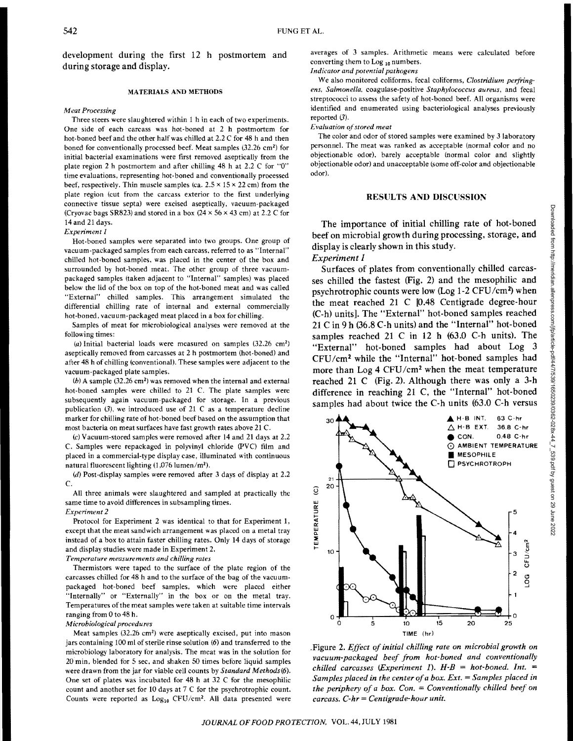development during the first 12 h postmortem and during storage and display.

## MATERIALS AND METHODS

#### *Meat Processing*

Three steers were slaughtered within 1 h in each of two experiments. One side of each carcass was hot-boned at 2 h postmortem for hot-boned beef and the other half was chilled at 2.2 C for 48 h and then boned for conventionally processed beef. Meat samples (32.26 cm<sup>2</sup>) for initial bacterial examinations were tirst removed aseptically from the plate region 2 h postmortem and after chilling 48 h at 2.2 C for "0" time evaluations, representing hot-boned and conventionally processed beef, respectively. Thin muscle samples (ca.  $2.5 \times 15 \times 22$  cm) from the plate region (cut from the carcass exterior to the first underlying connective tissue septa) were excised aseptically, vacuum-packaged (Cryovac bags SR823) and stored in a box  $(24 \times 56 \times 43 \text{ cm})$  at 2.2 C for 14 and 21 days.

*Experiment 1* 

Hot-boned samples were separated into two groups. One group of vacuum-packaged samples from each carcass. referred to as "Internal" chilled hot-boned samples, was placed in the center of the box and surrounded by hot-boned meat. The other group of three vacuumpackaged samples (taken adjacent to "Internal" samples) was placed below the lid of the box on top of the hot-boned meat and was called "External" chilled samples. This arrangement simulated the differential chilling rate of internal and external commercially hot-boned, vacuum-packaged meat placed in a box for chilling.

Samples of meat for microbiological analyses were removed at the following times:

(a) Initial bacterial loads were measured on samples (32.26 cm2) aseptically removed from carcasses at 2 h postmortem (hot-boned) and after 48 h of chilling (conventional). These samples were adjacent to the vacuum-packaged plate samples.

(b) A sample (32.26 cm2) was removed when the internal and external hot-boned samples were chilled to 21 C. The plate samples were subsequently again vacuum-packaged for storage. In a previous publication (3), we introduced use of 21 C as a temperature decline marker for chilling rate of hot-boned beef based on the assumption that most baeteria on meat surfaces have fast growth rates above 21 C.

(c) Vacuum-stored samples were removed after 14 and 21 days at 2.2 C. Samples were repackaged in polyvinyl chloride (PVC) film and placed in a commercial-type display case, illuminated with continuous natural fluorescent lighting (1 ,076 lumen/m2).

(d) Post-display samples were removed after 3 days of display at 2.2 c.

All three animals were slaughtered and sampled at practically the same time to avoid differences in subsampling times. *Experiment 2* 

Protocol for Experiment 2 was identical to that for Experiment 1, except that the meat sandwich arrangement was placed on a metal tray instead of a box to attain faster chilling rates. Only 14 days of storage and display studies were made in Experiment 2.

*Temperature measurements and chilling rates* 

Thermistors were taped to the surface of the plate region of the carcasses chilled for 48 h and to the surface of the bag of the vacuumpackaged hot-boned beef samples, which were placed either "Internally" or "Externally" in the box or on the metal tray. Temperatures of the meat samples were taken at suitable time intervals ranging from 0 to 48 h.

### *M icrobiologica/ procedures*

Meat samples (32.26 cm<sup>2</sup>) were aseptically excised, put into mason jars containing 100 ml of sterile rinse solution (6) and transferred to the microbiology laboratory for analysis. The meat was in the solution for 20 min, blended for 5 sec, and shaken SO times before liquid samples were drawn from the jar for viable cell counts by *Standard Methods(6).*  One set of plates was incubated for 48 h at 32 C for the mesophilic count and another set for 10 days at 7 C for the psychrotrophic count. Counts were reported as  $Log_{10}$  CFU/cm<sup>2</sup>. All data presented were averages of 3 samples. Arithmetic means were calculated before converting them to  $Log_{10}$  numbers.

*Indicator and potential pathogens* 

We also monitored coliforms, fecal coliforms, *Clostridium petfring· ens. Salmonella.* coagulase-positive *Staphylococcus aureus,* and fecal streptococci to assess the safety of hot-boned beef. All organisms were identified and enumerated using bacteriological analyses previously reported  $(\beta)$ .

#### *Evaluation o\_fstored meat*

The color and odor of stored samples were examined by 3 laboratory personnel. The meat was ranked as acceptable (normal color and no objectionable odor). barely acceptable (normal color and slightly objectionable odor) and unacceptable (some off-color and objectionable odor).

## RESULTS **AND** DISCUSSION

The importance of initial chilling rate of hot-boned beef on microbial growth during processing, storage, and display is clearly shown in this study.

# *Experiment I*

Surfaces of plates from conventionally chilled carcasses chilled the fastest (Fig. 2) and the mesophilic and psychrotrophic counts were low (Log 1-2 CFU/cm<sup>2</sup>) when the meat reached 21 C [0.48 Centigrade degree-hour (C-h) units]. The "External" hot-boned samples reached 21 C in 9 h (36.8 C-h units) and the "Internal" hot-boned samples reached 21 C in 12 h (63.0 C-h units). The "External" hot-boned samples had about Log 3 CFU/cm2 while the "Internal" hot-boned samples had more than Log 4 CFU/cm2 when the meat temperature reached 21 C (Fig. 2). Although there was only a 3-h difference in reaching 21 C, the "Internal" hot-boned samples had about twice the C-h units (63.0 C-h versus



.Figure 2. *Ejfect of initial chilling rate on microbial growth on vacuum-packaged beef from hot-honed and conventionally chilled carcasses (Experiment 1).*  $H - B = hot-boned$ . Int.  $=$ Samples placed in the center of a box. Ext. = Samples placed in *the periphery of a box. Con.* = *Conventionally chilled beef on carcass. C-hr =Centigrade-hour unit.*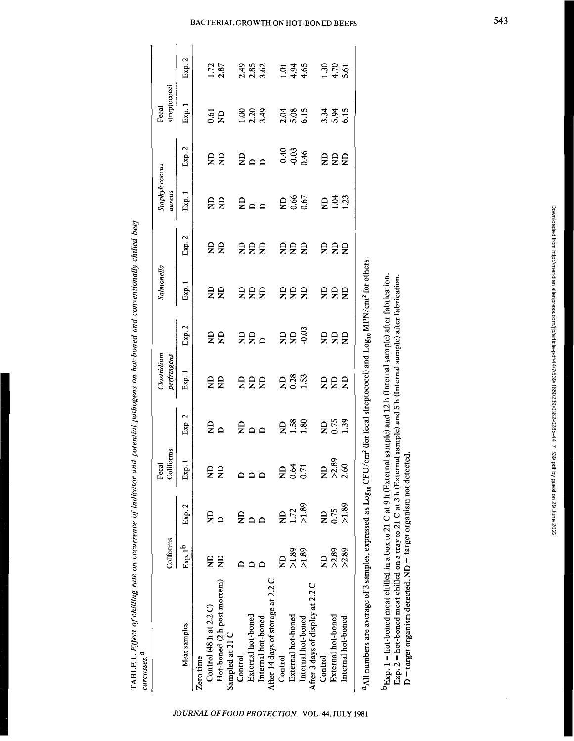|                                   | Coliforms            |                         | Coliforms<br>Fecal |          | Clostridium<br>perfringens |            | Salmonella |                 | Staphylococcus<br>aureus |                            | streptococci<br>Fecal |                      |
|-----------------------------------|----------------------|-------------------------|--------------------|----------|----------------------------|------------|------------|-----------------|--------------------------|----------------------------|-----------------------|----------------------|
| Meat samples                      | Exp.1 <sup>b</sup>   | Exp. 2                  | Exp. 1             | Exp. 2   | Exp.1                      | Exp. 2     | Exp. 1     | Exp. 2          | Eap.1                    | Exp. 2                     | Exp. 1                | Exp. 2               |
| Zero time                         |                      |                         |                    |          |                            |            |            |                 |                          |                            |                       |                      |
| Control (48 h at 2.2 C)           | g                    | $\mathbf{z}$            | ξă                 | £ء       |                            |            |            |                 |                          |                            |                       |                      |
| Hot-boned (2 h post mortem)       | ę                    |                         |                    |          | ξŞ                         | ξă         | ξă         | a s             | ξâ                       | ξâ                         | $\frac{61}{2}$        | $\frac{1.72}{2.87}$  |
| Sampled at 21 C                   |                      |                         |                    |          |                            |            |            |                 |                          |                            |                       |                      |
| Control                           |                      | £                       |                    |          |                            |            |            |                 |                          |                            |                       |                      |
| External hot-boned                |                      | $\mathbf{D}$            | $\mathbf{a}$       |          |                            |            |            |                 |                          |                            |                       |                      |
| Internal hot-boned                |                      |                         |                    | م ۾<br>ح | 22<br>2                    | 22a        | 22<br>2    | 222             | 2a                       | 200                        | $3.39$<br>$3.39$      | 2.49<br>2.85<br>3.62 |
| After 14 days of storage at 2.2 C |                      |                         |                    |          |                            |            |            |                 |                          |                            |                       |                      |
| Control                           | g                    | $\overline{\mathbf{z}}$ |                    |          |                            |            |            |                 |                          |                            |                       |                      |
| External hot-boned                |                      | $1.72$<br>>1.89         | $23.7$<br>$0.71$   | 2.38     | 23.3                       | <b>EES</b> | 22<br>2    | 22 <sup>2</sup> | R667<br>0.67             | $0.40$<br>$0.03$<br>$0.46$ | 2.38<br>5.35<br>6.15  | 1945<br>445          |
| Internal hot-boned                | 98.<br>SS<br>SS<br>S |                         |                    |          |                            |            |            |                 |                          |                            |                       |                      |
| After 3 days of display at 2.2 C  |                      |                         |                    |          |                            |            |            |                 |                          |                            |                       |                      |
| أمسهما                            | Ĕ                    | $\frac{1}{2}$           | Ę                  | ŗ        | <b>CU</b>                  | ŗ          | ŗ          | ŗ               | i<br>Pira                | <b>A</b>                   | $\frac{1}{2}$         | $\tilde{\cdot}$      |

JOURNAL OF FOOD PROTECTION, VOL. 44, JULY 1981

TABLE 1. *Effect of chilling rate on occurrence of indicator and potential pathogens on hot-boned and conventionally chilled beef*  TABLE 1. Effect of chilling rate on occurrence of indicator and potential pathogens on hot-boned and conventionally chilled beef

*carcasses. a* 

E<br>  $\frac{1}{2}$  Internal hot-boned >2.89 >1.89 2.60 1.39 ND ND ND ND 1.23 ND 6.15 5.61 Fig.<br>  $\frac{1}{2}$  a All numbers are average of 3 samples, expressed as Log<sub>10</sub> CFU/cm<sup>2</sup> (for fecal streptococci) and Log<sub>10</sub> MPN/cm<sup>2</sup> for  $\frac{2}{2}$  a All numbers are average of 3 samples, expressed as  $Log_{10}$  CFU/cm<sup>2</sup> (for fecal streptococci) and  $Log_{10}$  MPN/cm<sup>2</sup> for others.<br>b<sub>Exp.</sub> 1 = hot-boned meat chilled in a box to 21 C at 9 h (External sample) and <sup>a</sup>All numbers are average of 3 samples, expressed as Log<sub>10</sub> CFU/cm<sup>2</sup> (for fecal streptococci) and Log<sub>10</sub> MPN/cm<sup>2</sup> for others.

bExp. 1 = hot-boned meat chilled in a box to 21 C at 9 h (External sample) and 12 h (Internal sample) after fabrication. Exp. 2 = hot-boned meat chilled on a tray to 21 C at 3 h (External sample) and 5 h (Internal sample) after fabrication. Exp. 2 =hot-boned meat chilled on a tray to 21 Cat 3 h (External sample) and 5 h (Internal sample) after fabrication.  $D$  = target organism detected. ND = target organism not detected.  $D = target$  organism detected. ND = target organism not detected.

 $1.30$ <br> $4.70$ <br> $5.61$ 

3.34<br>5.45

222

 $231$ 

 $ESE$ 

 $222$ 

 $222$ 

 $222$ 

**RES**<br>0.75

ND<br>>2.89<br>2.60

ND<br>0.75<br>>1.89

ND<br>>2.89<br>>2.89

External hot-boned Internal hot-boned

Control